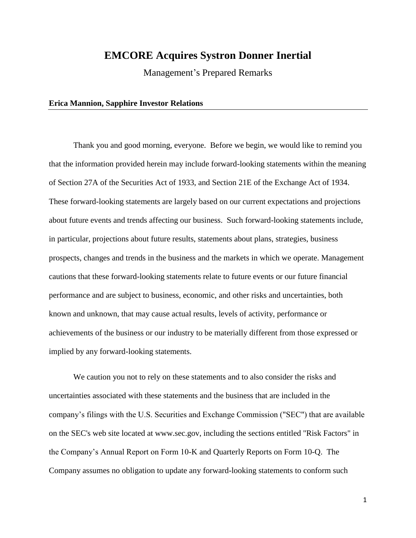## **EMCORE Acquires Systron Donner Inertial**

Management's Prepared Remarks

## **Erica Mannion, Sapphire Investor Relations**

Thank you and good morning, everyone. Before we begin, we would like to remind you that the information provided herein may include forward-looking statements within the meaning of Section 27A of the Securities Act of 1933, and Section 21E of the Exchange Act of 1934. These forward-looking statements are largely based on our current expectations and projections about future events and trends affecting our business. Such forward-looking statements include, in particular, projections about future results, statements about plans, strategies, business prospects, changes and trends in the business and the markets in which we operate. Management cautions that these forward-looking statements relate to future events or our future financial performance and are subject to business, economic, and other risks and uncertainties, both known and unknown, that may cause actual results, levels of activity, performance or achievements of the business or our industry to be materially different from those expressed or implied by any forward-looking statements.

We caution you not to rely on these statements and to also consider the risks and uncertainties associated with these statements and the business that are included in the company's filings with the U.S. Securities and Exchange Commission ("SEC") that are available on the SEC's web site located at www.sec.gov, including the sections entitled "Risk Factors" in the Company's Annual Report on Form 10-K and Quarterly Reports on Form 10-Q. The Company assumes no obligation to update any forward-looking statements to conform such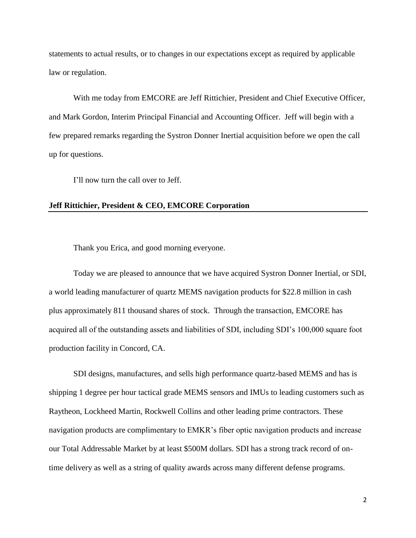statements to actual results, or to changes in our expectations except as required by applicable law or regulation.

With me today from EMCORE are Jeff Rittichier, President and Chief Executive Officer, and Mark Gordon, Interim Principal Financial and Accounting Officer. Jeff will begin with a few prepared remarks regarding the Systron Donner Inertial acquisition before we open the call up for questions.

I'll now turn the call over to Jeff.

## **Jeff Rittichier, President & CEO, EMCORE Corporation**

Thank you Erica, and good morning everyone.

Today we are pleased to announce that we have acquired Systron Donner Inertial, or SDI, a world leading manufacturer of quartz MEMS navigation products for \$22.8 million in cash plus approximately 811 thousand shares of stock. Through the transaction, EMCORE has acquired all of the outstanding assets and liabilities of SDI, including SDI's 100,000 square foot production facility in Concord, CA.

SDI designs, manufactures, and sells high performance quartz-based MEMS and has is shipping 1 degree per hour tactical grade MEMS sensors and IMUs to leading customers such as Raytheon, Lockheed Martin, Rockwell Collins and other leading prime contractors. These navigation products are complimentary to EMKR's fiber optic navigation products and increase our Total Addressable Market by at least \$500M dollars. SDI has a strong track record of ontime delivery as well as a string of quality awards across many different defense programs.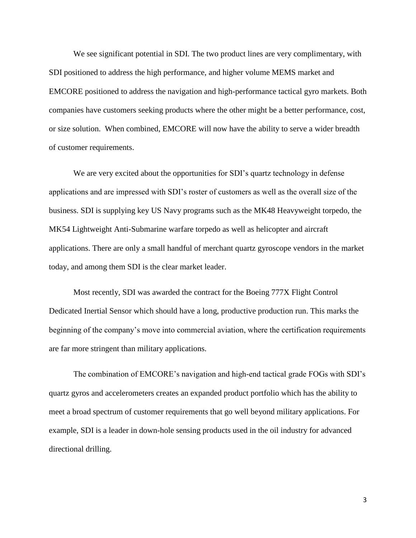We see significant potential in SDI. The two product lines are very complimentary, with SDI positioned to address the high performance, and higher volume MEMS market and EMCORE positioned to address the navigation and high-performance tactical gyro markets. Both companies have customers seeking products where the other might be a better performance, cost, or size solution. When combined, EMCORE will now have the ability to serve a wider breadth of customer requirements.

We are very excited about the opportunities for SDI's quartz technology in defense applications and are impressed with SDI's roster of customers as well as the overall size of the business. SDI is supplying key US Navy programs such as the MK48 Heavyweight torpedo, the MK54 Lightweight Anti-Submarine warfare torpedo as well as helicopter and aircraft applications. There are only a small handful of merchant quartz gyroscope vendors in the market today, and among them SDI is the clear market leader.

Most recently, SDI was awarded the contract for the Boeing 777X Flight Control Dedicated Inertial Sensor which should have a long, productive production run. This marks the beginning of the company's move into commercial aviation, where the certification requirements are far more stringent than military applications.

The combination of EMCORE's navigation and high-end tactical grade FOGs with SDI's quartz gyros and accelerometers creates an expanded product portfolio which has the ability to meet a broad spectrum of customer requirements that go well beyond military applications. For example, SDI is a leader in down-hole sensing products used in the oil industry for advanced directional drilling.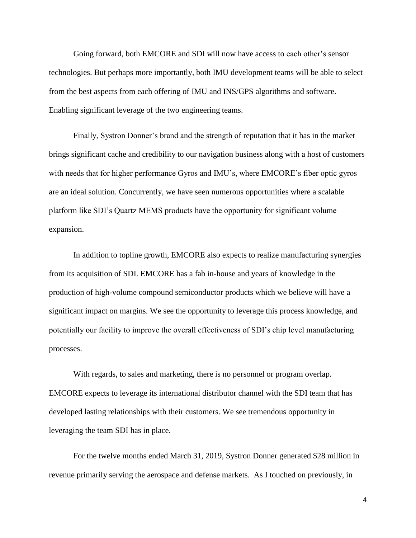Going forward, both EMCORE and SDI will now have access to each other's sensor technologies. But perhaps more importantly, both IMU development teams will be able to select from the best aspects from each offering of IMU and INS/GPS algorithms and software. Enabling significant leverage of the two engineering teams.

Finally, Systron Donner's brand and the strength of reputation that it has in the market brings significant cache and credibility to our navigation business along with a host of customers with needs that for higher performance Gyros and IMU's, where EMCORE's fiber optic gyros are an ideal solution. Concurrently, we have seen numerous opportunities where a scalable platform like SDI's Quartz MEMS products have the opportunity for significant volume expansion.

In addition to topline growth, EMCORE also expects to realize manufacturing synergies from its acquisition of SDI. EMCORE has a fab in-house and years of knowledge in the production of high-volume compound semiconductor products which we believe will have a significant impact on margins. We see the opportunity to leverage this process knowledge, and potentially our facility to improve the overall effectiveness of SDI's chip level manufacturing processes.

With regards, to sales and marketing, there is no personnel or program overlap. EMCORE expects to leverage its international distributor channel with the SDI team that has developed lasting relationships with their customers. We see tremendous opportunity in leveraging the team SDI has in place.

For the twelve months ended March 31, 2019, Systron Donner generated \$28 million in revenue primarily serving the aerospace and defense markets. As I touched on previously, in

4